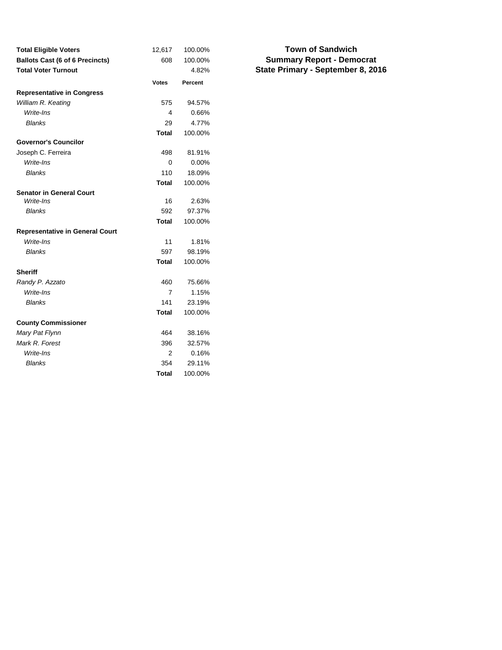| <b>Total Eligible Voters</b>           | 12,617       | 100.00% |
|----------------------------------------|--------------|---------|
| <b>Ballots Cast (6 of 6 Precincts)</b> | 608          | 100.00% |
| <b>Total Voter Turnout</b>             |              | 4.82%   |
|                                        | <b>Votes</b> | Percent |
| <b>Representative in Congress</b>      |              |         |
| William R. Keating                     | 575          | 94.57%  |
| Write-Ins                              | 4            | 0.66%   |
| <b>Blanks</b>                          | 29           | 4.77%   |
|                                        | Total        | 100.00% |
| <b>Governor's Councilor</b>            |              |         |
| Joseph C. Ferreira                     | 498          | 81.91%  |
| Write-Ins                              | $\Omega$     | 0.00%   |
| <b>Blanks</b>                          | 110          | 18.09%  |
|                                        | <b>Total</b> | 100.00% |
| <b>Senator in General Court</b>        |              |         |
| Write-Ins                              | 16           | 2.63%   |
| <b>Blanks</b>                          | 592          | 97.37%  |
|                                        | <b>Total</b> | 100.00% |
| <b>Representative in General Court</b> |              |         |
| Write-Ins                              | 11           | 1.81%   |
| <b>Blanks</b>                          | 597          | 98.19%  |
|                                        | <b>Total</b> | 100.00% |
| <b>Sheriff</b>                         |              |         |
| Randy P. Azzato                        | 460          | 75.66%  |
| Write-Ins                              | 7            | 1.15%   |
| <b>Blanks</b>                          | 141          | 23.19%  |
|                                        | <b>Total</b> | 100.00% |
| <b>County Commissioner</b>             |              |         |
| Mary Pat Flynn                         | 464          | 38.16%  |
| Mark R. Forest                         | 396          | 32.57%  |
| Write-Ins                              | 2            | 0.16%   |
| <b>Blanks</b>                          | 354          | 29.11%  |
|                                        | <b>Total</b> | 100.00% |

### **Summary Report - Democrat State Primary - September 8, 2016 Town of Sandwich**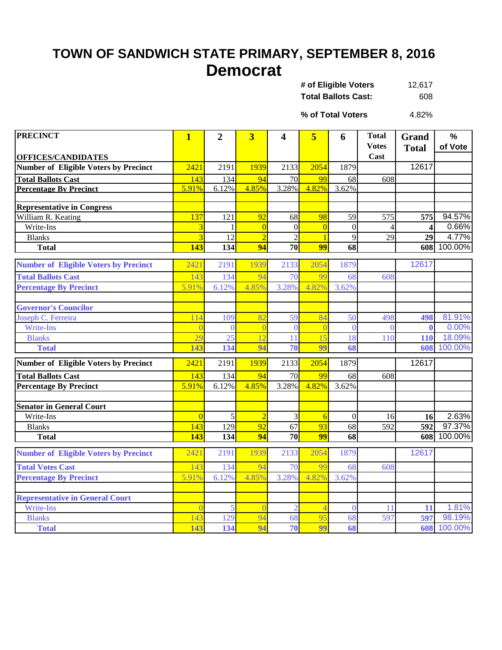### **TOWN OF SANDWICH STATE PRIMARY, SEPTEMBER 8, 2016 Democrat**

| # of Eligible Voters       | 12.617 |
|----------------------------|--------|
| <b>Total Ballots Cast:</b> | 608    |

4.82% **% of Total Voters**

| <b>PRECINCT</b>                              | $\mathbf{1}$            | $\overline{2}$ | $\overline{\mathbf{3}}$ | 4               | 5               | 6                | <b>Total</b><br><b>Votes</b> | Grand        | $\frac{0}{0}$<br>of Vote |
|----------------------------------------------|-------------------------|----------------|-------------------------|-----------------|-----------------|------------------|------------------------------|--------------|--------------------------|
| <b>OFFICES/CANDIDATES</b>                    |                         |                |                         |                 |                 |                  | Cast                         | <b>Total</b> |                          |
| <b>Number of Eligible Voters by Precinct</b> | 2421                    | 2191           | 1939                    | 2133            | 2054            | 1879             |                              | 12617        |                          |
| <b>Total Ballots Cast</b>                    | 143                     | 134            | 94                      | 70              | 99              | 68               | 608                          |              |                          |
| <b>Percentage By Precinct</b>                | 5.91%                   | 6.12%          | 4.85%                   | 3.28%           | 4.82%           | 3.62%            |                              |              |                          |
|                                              |                         |                |                         |                 |                 |                  |                              |              |                          |
| <b>Representative in Congress</b>            |                         |                |                         |                 |                 |                  |                              |              |                          |
| William R. Keating                           | 137                     | 121            | 92                      | 68              | 98              | 59               | 575                          | 575          | 94.57%                   |
| Write-Ins                                    | $\overline{\mathbf{3}}$ | -1             | $\overline{0}$          | $\overline{0}$  | $\overline{0}$  | $\boldsymbol{0}$ | $\overline{4}$               | 4            | 0.66%                    |
| <b>Blanks</b>                                | $\overline{3}$          | 12             |                         | $\overline{2}$  |                 | 9                | 29                           | 29           | 4.77%                    |
| <b>Total</b>                                 | 143                     | 134            | 94                      | 70              | 99              | 68               |                              | 608          | 100.00%                  |
|                                              |                         |                |                         |                 |                 |                  |                              |              |                          |
| <b>Number of Eligible Voters by Precinct</b> | 2421                    | 2191           | 1939                    | 2133            | 2054            | 1879             |                              | 12617        |                          |
| <b>Total Ballots Cast</b>                    | 143                     | 134            | 94                      | 70              | 99              | 68               | 608                          |              |                          |
| <b>Percentage By Precinct</b>                | 5.91%                   | 6.12%          | 4.85%                   | 3.28%           | 4.82%           | 3.62%            |                              |              |                          |
|                                              |                         |                |                         |                 |                 |                  |                              |              |                          |
| <b>Governor's Councilor</b>                  |                         |                |                         |                 |                 |                  |                              |              |                          |
| Joseph C. Ferreira                           | 114                     | 109            | 82                      | 59              | 84              | 50               | 498                          | 498          | 81.91%                   |
| Write-Ins                                    |                         | $\theta$       | $\overline{0}$          | $\theta$        |                 | $\mathbf{0}$     | $\Omega$                     | $\mathbf{0}$ | 0.00%                    |
| <b>Blanks</b>                                | 29                      | 25             | 12                      | 11              | 15              | 18               | 110                          | 110          | 18.09%                   |
| <b>Total</b>                                 | 143                     | 134            | 94                      | $\overline{70}$ | 99              | 68               |                              | 608          | 100.00%                  |
| <b>Number of Eligible Voters by Precinct</b> | 2421                    | 2191           | 1939                    | 2133            | 2054            | 1879             |                              | 12617        |                          |
| <b>Total Ballots Cast</b>                    | 143                     | 134            | 94                      | 70              | 99              | 68               | 608                          |              |                          |
| <b>Percentage By Precinct</b>                | 5.91%                   | 6.12%          | 4.85%                   | 3.28%           | 4.82%           | 3.62%            |                              |              |                          |
|                                              |                         |                |                         |                 |                 |                  |                              |              |                          |
| <b>Senator in General Court</b>              |                         |                |                         |                 |                 |                  |                              |              |                          |
| Write-Ins                                    | $\overline{0}$          | 5              | $\overline{2}$          | 3               | 6               | $\mathbf{0}$     | 16                           | 16           | 2.63%                    |
| <b>Blanks</b>                                | 143                     | 129            | $\overline{92}$         | $\overline{67}$ | $\overline{93}$ | $\overline{68}$  | $\overline{592}$             | 592          | 97.37%                   |
| <b>Total</b>                                 | 143                     | 134            | 94                      | 70              | 99              | 68               |                              |              | 608 100.00%              |
|                                              | 2421                    | 2191           |                         |                 | 2054            |                  |                              | 12617        |                          |
| <b>Number of Eligible Voters by Precinct</b> |                         |                | 1939                    | 2133            |                 | 1879             |                              |              |                          |
| <b>Total Votes Cast</b>                      | 143                     | 134            | 94                      | 70              | 99              | 68               | 608                          |              |                          |
| <b>Percentage By Precinct</b>                | 5.91%                   | 6.12%          | 4.85%                   | 3.28%           | 4.82%           | 3.62%            |                              |              |                          |
|                                              |                         |                |                         |                 |                 |                  |                              |              |                          |
| <b>Representative in General Court</b>       |                         |                |                         |                 |                 |                  |                              |              |                          |
| Write-Ins                                    |                         | 5              | $\sqrt{ }$              | $\overline{2}$  | $\overline{4}$  | $\overline{0}$   | 11                           | 11           | 1.81%                    |
| <b>Blanks</b>                                | 143                     | 129            | 94                      | 68              | 95              | 68               | 597                          | 597          | 98.19%                   |
| <b>Total</b>                                 | 143                     | 134            | 94                      | 70              | 99              | 68               |                              | 608          | 100.00%                  |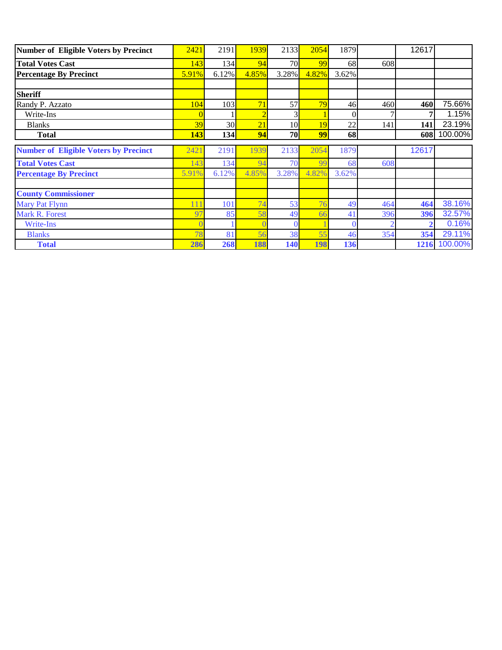| Number of Eligible Voters by Precinct        | 2421       | 2191  | 1939            | 2133  | 2054  | 1879  |     | 12617 |              |
|----------------------------------------------|------------|-------|-----------------|-------|-------|-------|-----|-------|--------------|
| <b>Total Votes Cast</b>                      | 143        | 134   | 94              | 70    | 99    | 68    | 608 |       |              |
| <b>Percentage By Precinct</b>                | 5.91%      | 6.12% | 4.85%           | 3.28% | 4.82% | 3.62% |     |       |              |
|                                              |            |       |                 |       |       |       |     |       |              |
| <b>Sheriff</b>                               |            |       |                 |       |       |       |     |       |              |
| Randy P. Azzato                              | 104        | 103   | 71              | 57    | 79    | 46    | 460 | 460   | 75.66%       |
| Write-Ins                                    |            |       |                 |       |       |       |     |       | 1.15%        |
| <b>Blanks</b>                                | 39         | 30    | $\overline{21}$ | 10    | 19    | 22    | 141 | 141   | 23.19%       |
| <b>Total</b>                                 | <b>143</b> | 134   | 94              | 70    | 99    | 68    |     | 608   | 100.00%      |
| <b>Number of Eligible Voters by Precinct</b> | 2421       | 2191  | 1939            | 2133  | 2054  | 1879  |     | 12617 |              |
| <b>Total Votes Cast</b>                      | 43         | 134   | 94              | 70    | -99   | 68    | 608 |       |              |
| <b>Percentage By Precinct</b>                | 5.91%      | 6.12% | 4.85%           | 3.28% | 4.82% | 3.62% |     |       |              |
|                                              |            |       |                 |       |       |       |     |       |              |
| <b>County Commissioner</b>                   |            |       |                 |       |       |       |     |       |              |
| <b>Mary Pat Flynn</b>                        |            | 101   | 74              | 53    | 76    | 49    | 464 | 464   | 38.16%       |
| Mark R. Forest                               | 97         | 85    | 58              | 49    | 66    | 41    | 396 | 396   | 32.57%       |
| Write-Ins                                    |            |       |                 |       |       |       |     |       | 0.16%        |
| <b>Blanks</b>                                | 78         | 81    | 56              | 38    | 55    | 46    | 354 | 354   | 29.11%       |
|                                              |            |       |                 |       |       |       |     |       | 1216 100.00% |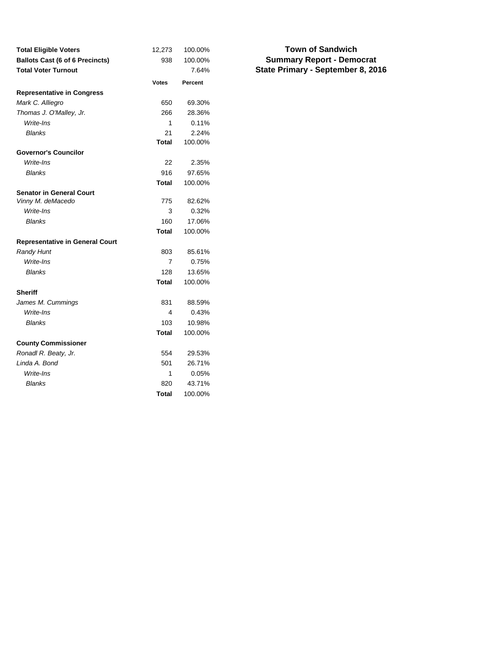| <b>Total Eligible Voters</b>           | 12,273       | 100.00% |
|----------------------------------------|--------------|---------|
| <b>Ballots Cast (6 of 6 Precincts)</b> | 938          | 100.00% |
| <b>Total Voter Turnout</b>             |              | 7.64%   |
|                                        | <b>Votes</b> | Percent |
| <b>Representative in Congress</b>      |              |         |
| Mark C. Alliegro                       | 650          | 69.30%  |
| Thomas J. O'Malley, Jr.                | 266          | 28.36%  |
| Write-Ins                              | 1            | 0.11%   |
| <b>Blanks</b>                          | 21           | 2.24%   |
|                                        | Total        | 100.00% |
| <b>Governor's Councilor</b>            |              |         |
| Write-Ins                              | 22           | 2.35%   |
| <b>Blanks</b>                          | 916          | 97.65%  |
|                                        | <b>Total</b> | 100.00% |
| <b>Senator in General Court</b>        |              |         |
| Vinny M. deMacedo                      | 775          | 82.62%  |
| Write-Ins                              | 3            | 0.32%   |
| <b>Blanks</b>                          | 160          | 17.06%  |
|                                        | Total        | 100.00% |
| <b>Representative in General Court</b> |              |         |
| <b>Randy Hunt</b>                      | 803          | 85.61%  |
| Write-Ins                              | 7            | 0.75%   |
| <b>Blanks</b>                          | 128          | 13.65%  |
|                                        | <b>Total</b> | 100.00% |
| <b>Sheriff</b>                         |              |         |
| James M. Cummings                      | 831          | 88.59%  |
| Write-Ins                              | 4            | 0.43%   |
| <b>Blanks</b>                          | 103          | 10.98%  |
|                                        | <b>Total</b> | 100.00% |
| <b>County Commissioner</b>             |              |         |
| Ronadl R. Beaty, Jr.                   | 554          | 29.53%  |
| Linda A. Bond                          | 501          | 26.71%  |
| Write-Ins                              | 1            | 0.05%   |
| Blanks                                 | 820          | 43.71%  |
|                                        | <b>Total</b> | 100.00% |

### **Summary Report - Democrat State Primary - September 8, 2016 Town of Sandwich**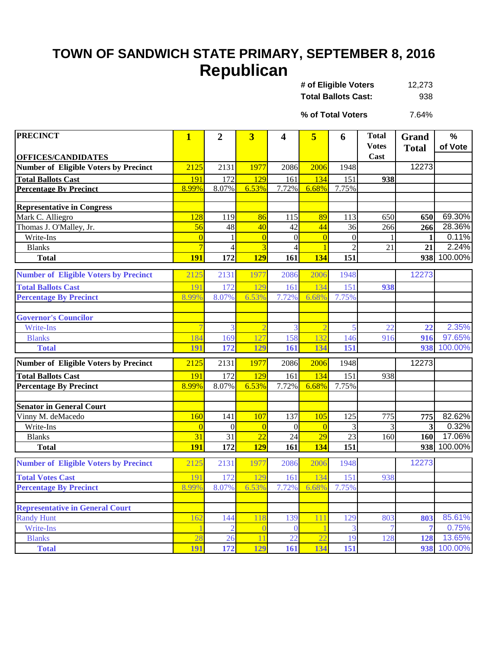# **TOWN OF SANDWICH STATE PRIMARY, SEPTEMBER 8, 2016 Republican**

| # of Eligible Voters       | 12,273 |
|----------------------------|--------|
| <b>Total Ballots Cast:</b> | 938    |

7.64% **% of Total Voters**

| <b>PRECINCT</b>                              | $\mathbf{1}$                     | $\overline{2}$        | $\overline{3}$                   | 4              | 5                                | 6              | <b>Total</b> | <b>Grand</b> | $\%$           |
|----------------------------------------------|----------------------------------|-----------------------|----------------------------------|----------------|----------------------------------|----------------|--------------|--------------|----------------|
|                                              |                                  |                       |                                  |                |                                  |                | <b>Votes</b> | <b>Total</b> | of Vote        |
| <b>OFFICES/CANDIDATES</b>                    |                                  |                       |                                  |                |                                  |                | Cast         |              |                |
| <b>Number of Eligible Voters by Precinct</b> | 2125                             | 2131                  | 1977                             | 2086           | 2006                             | 1948           |              | 12273        |                |
| <b>Total Ballots Cast</b>                    | 191                              | 172                   | 129                              | 161            | 134                              | 151            | 938          |              |                |
| <b>Percentage By Precinct</b>                | 8.99%                            | 8.07%                 | 6.53%                            | 7.72%          | 6.68%                            | 7.75%          |              |              |                |
|                                              |                                  |                       |                                  |                |                                  |                |              |              |                |
| <b>Representative in Congress</b>            |                                  |                       |                                  |                |                                  |                |              |              |                |
| Mark C. Alliegro                             | 128                              | 119                   | 86                               | 115            | 89                               | 113            | 650          | 650          | 69.30%         |
| Thomas J. O'Malley, Jr.                      | 56                               | 48                    | 40                               | 42             | 44                               | 36             | 266          | 266          | 28.36%         |
| Write-Ins                                    | $\overline{0}$<br>$\overline{7}$ | $\mathbf{1}$          | $\overline{0}$<br>$\overline{3}$ | $\overline{0}$ | $\overline{0}$<br>$\overline{1}$ | $\overline{0}$ |              | $\mathbf{1}$ | 0.11%<br>2.24% |
| <b>Blanks</b>                                |                                  | $\overline{4}$<br>172 |                                  | 4              | 134                              | $\overline{2}$ | 21           | 21           | 938 100.00%    |
| <b>Total</b>                                 | <b>191</b>                       |                       | <b>129</b>                       | 161            |                                  | 151            |              |              |                |
| <b>Number of Eligible Voters by Precinct</b> | 2125                             | 2131                  | 1977                             | 2086           | 2006                             | 1948           |              | 12273        |                |
| <b>Total Ballots Cast</b>                    | 191                              | 172                   | 129                              | 161            | 134                              | 151            | 938          |              |                |
| <b>Percentage By Precinct</b>                | 8.99%                            | 8.07%                 | 6.53%                            | 7.72%          | 6.68%                            | 7.75%          |              |              |                |
|                                              |                                  |                       |                                  |                |                                  |                |              |              |                |
| <b>Governor's Councilor</b>                  |                                  |                       |                                  |                |                                  |                |              |              |                |
| <b>Write-Ins</b>                             |                                  | 3                     | 2                                | 3              | $\overline{\mathcal{I}}$         | 5              | 22           | 22           | 2.35%          |
| <b>Blanks</b>                                | 184                              | 169                   | 127                              | 158            | 132                              | 146            | 916          | 916          | 97.65%         |
| <b>Total</b>                                 | 191                              | 172                   | 129                              | 161            | 134                              | 151            |              |              | 938 100.00%    |
| <b>Number of Eligible Voters by Precinct</b> | 2125                             | 2131                  | 1977                             | 2086           | 2006                             | 1948           |              | 12273        |                |
| <b>Total Ballots Cast</b>                    | 191                              | 172                   | 129                              | 161            | 134                              | 151            | 938          |              |                |
| <b>Percentage By Precinct</b>                | 8.99%                            | 8.07%                 | 6.53%                            | 7.72%          | 6.68%                            | 7.75%          |              |              |                |
|                                              |                                  |                       |                                  |                |                                  |                |              |              |                |
| <b>Senator in General Court</b>              |                                  |                       |                                  |                |                                  |                |              |              |                |
| Vinny M. deMacedo                            | 160                              | 141                   | 107                              | 137            | 105                              | 125            | 775          | 775          | 82.62%         |
| Write-Ins                                    | $\Omega$                         | $\theta$              | $\overline{0}$                   | $\Omega$       | $\overline{0}$                   | 3              | 3            | 3            | 0.32%          |
| <b>Blanks</b>                                | 31                               | 31                    | $\overline{22}$                  | 24             | $\overline{29}$                  | 23             | 160          | 160          | 17.06%         |
| <b>Total</b>                                 | <b>191</b>                       | 172                   | <b>129</b>                       | 161            | 134                              | 151            |              |              | 938 100.00%    |
| <b>Number of Eligible Voters by Precinct</b> | 2125                             | 2131                  | 1977                             | 2086           | 2006                             | 1948           |              | 12273        |                |
| <b>Total Votes Cast</b>                      | 191                              | 172                   | 129                              | 161            | 134                              | 151            | 938          |              |                |
| <b>Percentage By Precinct</b>                | 8.99%                            | 8.07%                 | 6.53%                            | 7.72%          | 6.68%                            | 7.75%          |              |              |                |
|                                              |                                  |                       |                                  |                |                                  |                |              |              |                |
| <b>Representative in General Court</b>       |                                  |                       |                                  |                |                                  |                |              |              |                |
| <b>Randy Hunt</b>                            | 162                              | 144                   | 118                              | 139            | 111                              | 129            | 803          | 803          | 85.61%         |
| Write-Ins                                    |                                  |                       |                                  | $\Omega$       |                                  |                |              |              | 0.75%          |
| <b>Blanks</b>                                | 28                               | 26                    | 11                               | 22             | $\overline{22}$                  | 19             | 128          | 128          | 13.65%         |
| <b>Total</b>                                 | 191                              | 172                   | 129                              | 161            | 134                              | 151            |              |              | 938 100.00%    |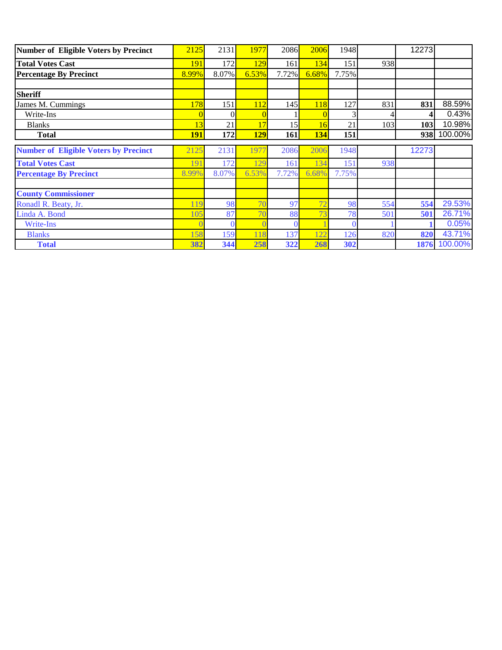| Number of Eligible Voters by Precinct        | 2125       | 2131  | 1977           | 2086  | 2006  | 1948  |     | 12273 |         |
|----------------------------------------------|------------|-------|----------------|-------|-------|-------|-----|-------|---------|
| <b>Total Votes Cast</b>                      | 191        | 172   | 129            | 161   | 134   | 151   | 938 |       |         |
| <b>Percentage By Precinct</b>                | 8.99%      | 8.07% | 6.53%          | 7.72% | 6.68% | 7.75% |     |       |         |
|                                              |            |       |                |       |       |       |     |       |         |
| <b>Sheriff</b>                               |            |       |                |       |       |       |     |       |         |
| James M. Cummings                            | 178        | 151   | 112            | 145   | 118   | 127   | 831 | 831   | 88.59%  |
| Write-Ins                                    |            |       |                |       |       |       |     |       | 0.43%   |
| <b>Blanks</b>                                | 13         | 21    |                | 15    | 16    | 21    | 103 | 103   | 10.98%  |
| <b>Total</b>                                 | <b>191</b> | 172   | <b>129</b>     | 161   | 134   | 151   |     | 938   | 100.00% |
| <b>Number of Eligible Voters by Precinct</b> | 2125       | 2131  | 1977           | 2086  | 2006  | 1948  |     | 12273 |         |
| <b>Total Votes Cast</b>                      | 191        | 172   | 129            | 161   | 134   | 151   | 938 |       |         |
| <b>Percentage By Precinct</b>                | 8.99%      | 8.07% | 6.53%          | 7.72% | 6.68% | 7.75% |     |       |         |
| <b>County Commissioner</b>                   |            |       |                |       |       |       |     |       |         |
|                                              |            |       |                |       |       |       |     |       |         |
|                                              | 119        | 98    | 7 <sup>1</sup> | 97    | 72    | 98    | 554 | 554   | 29.53%  |
| Ronadl R. Beaty, Jr.<br>Linda A. Bond        | 105        | 87    | 7 <sub>0</sub> | 88    | 73    | 78    | 501 | 501   | 26.71%  |
| Write-Ins                                    |            |       |                |       |       |       |     |       | 0.05%   |
| <b>Blanks</b>                                | 158        | 159   |                | 137   | 122   | 126   | 820 | 820   | 43.71%  |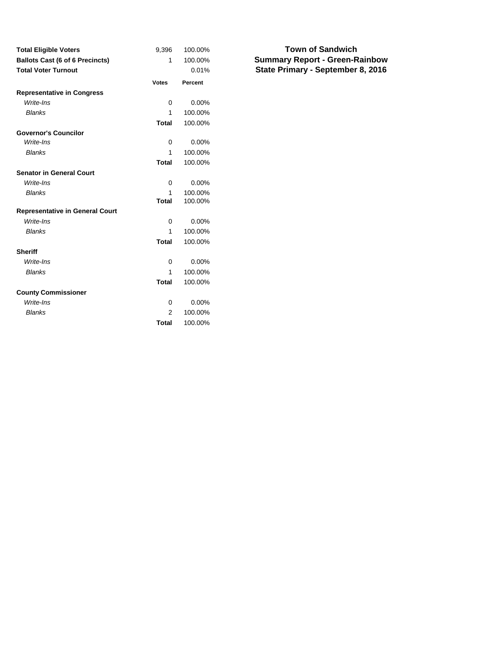| <b>Total Eligible Voters</b>           | 9,396        | 100.00%  |
|----------------------------------------|--------------|----------|
| <b>Ballots Cast (6 of 6 Precincts)</b> | 1            | 100.00%  |
| <b>Total Voter Turnout</b>             |              | 0.01%    |
|                                        | <b>Votes</b> | Percent  |
| <b>Representative in Congress</b>      |              |          |
| Write-Ins                              | 0            | 0.00%    |
| <b>Blanks</b>                          | 1            | 100.00%  |
|                                        | <b>Total</b> | 100.00%  |
| <b>Governor's Councilor</b>            |              |          |
| Write-Ins                              | 0            | 0.00%    |
| <b>Blanks</b>                          | 1            | 100.00%  |
|                                        | <b>Total</b> | 100.00%  |
| <b>Senator in General Court</b>        |              |          |
| Write-Ins                              | 0            | $0.00\%$ |
| <b>Blanks</b>                          | 1            | 100.00%  |
|                                        | <b>Total</b> | 100.00%  |
| <b>Representative in General Court</b> |              |          |
| Write-Ins                              | $\Omega$     | 0.00%    |
| <b>Blanks</b>                          | 1            | 100.00%  |
|                                        | <b>Total</b> | 100.00%  |
| <b>Sheriff</b>                         |              |          |
| Write-Ins                              | 0            | $0.00\%$ |
| <b>Blanks</b>                          | 1            | 100.00%  |
|                                        | <b>Total</b> | 100.00%  |
| <b>County Commissioner</b>             |              |          |
| Write-Ins                              | 0            | $0.00\%$ |
| <b>Blanks</b>                          | 2            | 100.00%  |
|                                        | <b>Total</b> | 100.00%  |

**Summary Report - Green-Rainbow State Primary - September 8, 2016 Town of Sandwich**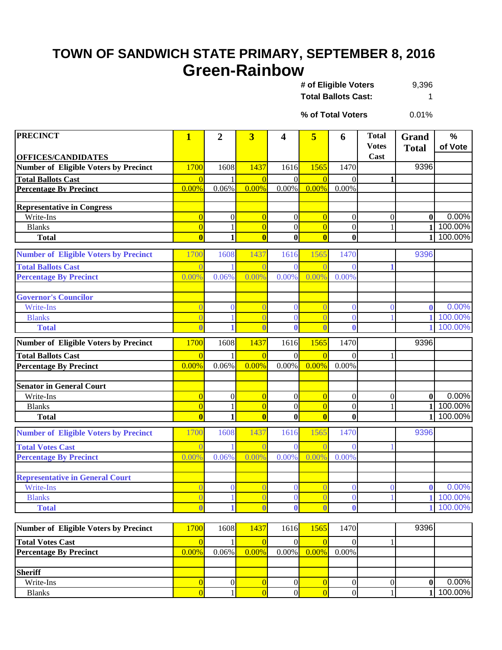### **TOWN OF SANDWICH STATE PRIMARY, SEPTEMBER 8, 2016 Green-Rainbow**

9,396 **Total Ballots Cast:** 1 **# of Eligible Voters** 

0.01% **% of Total Voters**

| <b>PRECINCT</b>                                     | $\mathbf{1}$                 | $\overline{2}$   | $\overline{\mathbf{3}}$ | $\overline{\mathbf{4}}$ | 5                       | 6                | <b>Total</b>         | Grand            | %         |
|-----------------------------------------------------|------------------------------|------------------|-------------------------|-------------------------|-------------------------|------------------|----------------------|------------------|-----------|
| <b>OFFICES/CANDIDATES</b>                           |                              |                  |                         |                         |                         |                  | <b>Votes</b><br>Cast | <b>Total</b>     | of Vote   |
| <b>Number of Eligible Voters by Precinct</b>        | 1700                         | 1608             | 1437                    | 1616                    | 1565                    | 1470             |                      | 9396             |           |
| <b>Total Ballots Cast</b>                           | $\Omega$                     |                  | $\overline{0}$          | $\Omega$                | $\overline{0}$          | $\Omega$         | $\mathbf{1}$         |                  |           |
| <b>Percentage By Precinct</b>                       | 0.00%                        | 0.06%            | 0.00%                   | $0.00\%$                | 0.00%                   | 0.00%            |                      |                  |           |
|                                                     |                              |                  |                         |                         |                         |                  |                      |                  |           |
| <b>Representative in Congress</b>                   |                              |                  |                         |                         |                         |                  |                      |                  |           |
| Write-Ins                                           | $\overline{0}$               | $\boldsymbol{0}$ | $\overline{0}$          | $\boldsymbol{0}$        | $\overline{0}$          | $\boldsymbol{0}$ | $\boldsymbol{0}$     | $\bf{0}$         | 0.00%     |
| <b>Blanks</b>                                       | $\overline{0}$               | $\mathbf{1}$     | $\overline{0}$          | $\mathbf{0}$            | $\overline{0}$          | $\mathbf{0}$     | 1                    | $\mathbf{1}$     | 100.00%   |
| <b>Total</b>                                        | $\overline{\mathbf{0}}$      | $\mathbf{1}$     | $\overline{\mathbf{0}}$ | $\mathbf{0}$            | $\overline{\mathbf{0}}$ | $\mathbf 0$      |                      | $\mathbf{1}$     | 100.00%   |
| <b>Number of Eligible Voters by Precinct</b>        | 1700                         | 1608             | 1437                    | 1616                    | 1565                    | 1470             |                      | 9396             |           |
| <b>Total Ballots Cast</b>                           |                              |                  |                         | $\Omega$                | $\Omega$                | $\Omega$         |                      |                  |           |
| <b>Percentage By Precinct</b>                       | 0.00%                        | 0.06%            | 0.00%                   | 0.00%                   | 0.00%                   | 0.00%            |                      |                  |           |
|                                                     |                              |                  |                         |                         |                         |                  |                      |                  |           |
| <b>Governor's Councilor</b>                         |                              |                  |                         |                         |                         |                  |                      |                  |           |
| <b>Write-Ins</b>                                    | $\left  \right $             | $\overline{0}$   | $\sqrt{ }$              | $\Omega$                | $\overline{0}$          | $\bf{0}$         | $\overline{0}$       | $\mathbf 0$      | 0.00%     |
| <b>Blanks</b>                                       | $\overline{0}$               |                  | $\overline{0}$          | $\Omega$                | $\overline{0}$          | $\theta$         |                      | $\mathbf 1$      | 100.00%   |
| <b>Total</b>                                        | $\overline{0}$               |                  | $\overline{\mathbf{0}}$ | $\mathbf{0}$            | $\overline{\mathbf{0}}$ | $\mathbf{0}$     |                      |                  | 100.00%   |
| <b>Number of Eligible Voters by Precinct</b>        | 1700                         | 1608             | 1437                    | 1616                    | 1565                    | 1470             |                      | 9396             |           |
| <b>Total Ballots Cast</b>                           | $\Omega$                     |                  | $\overline{0}$          | $\Omega$                | $\overline{0}$          | $\Omega$         | 1                    |                  |           |
| <b>Percentage By Precinct</b>                       | 0.00%                        | 0.06%            | 0.00%                   | 0.00%                   | 0.00%                   | 0.00%            |                      |                  |           |
|                                                     |                              |                  |                         |                         |                         |                  |                      |                  |           |
| <b>Senator in General Court</b>                     |                              |                  |                         |                         |                         |                  |                      |                  |           |
| Write-Ins                                           | $\overline{0}$               | $\boldsymbol{0}$ | $\overline{0}$          | $\mathbf{0}$            | $\overline{0}$          | $\mathbf{0}$     | $\theta$             | $\bf{0}$         | 0.00%     |
| <b>Blanks</b>                                       | $\overline{0}$               | $\mathbf{1}$     | $\overline{0}$          | $\boldsymbol{0}$        | $\overline{0}$          | $\mathbf{0}$     |                      | $\mathbf{1}$     | 100.00%   |
| <b>Total</b>                                        | $\bf{0}$                     | $\mathbf{1}$     | $\bf{0}$                | $\bf{0}$                | $\bf{0}$                | $\bf{0}$         |                      | $\mathbf{1}$     | 100.00%   |
| <b>Number of Eligible Voters by Precinct</b>        | 1700                         | 1608             | 1437                    | 1616                    | 1565                    | 1470             |                      | 9396             |           |
| <b>Total Votes Cast</b>                             |                              |                  |                         | $\Omega$                |                         | $\Omega$         |                      |                  |           |
| <b>Percentage By Precinct</b>                       | 0.00%                        | 0.06%            | 0.00%                   | 0.00%                   | 0.00%                   | 0.00%            |                      |                  |           |
|                                                     |                              |                  |                         |                         |                         |                  |                      |                  |           |
| <b>Representative in General Court</b><br>Write-Ins |                              | $\overline{0}$   |                         | $\Omega$                |                         | $\bf{0}$         | $\overline{0}$       | $\bf{0}$         | 0.00%     |
| <b>Blanks</b>                                       |                              | $\mathbf{1}$     | $\overline{0}$          | $\mathbf{0}$            | $\overline{0}$          | $\boldsymbol{0}$ |                      |                  | 1 100.00% |
| <b>Total</b>                                        | U<br>$\overline{\mathbf{0}}$ | 1                | $\overline{\mathbf{r}}$ | $\mathbf{0}$            | $\mathbf{0}$            | $\mathbf{0}$     |                      |                  | 100.00%   |
|                                                     |                              |                  |                         |                         |                         |                  |                      |                  |           |
| <b>Number of Eligible Voters by Precinct</b>        | 1700                         | 1608             | 1437                    | 1616                    | 1565                    | 1470             |                      | 9396             |           |
| <b>Total Votes Cast</b>                             | $\overline{0}$               | 1                | $\overline{0}$          | 0                       | $\overline{0}$          | $\overline{0}$   | 1                    |                  |           |
| <b>Percentage By Precinct</b>                       | 0.00%                        | 0.06%            | 0.00%                   | $0.00\%$                | 0.00%                   | 0.00%            |                      |                  |           |
|                                                     |                              |                  |                         |                         |                         |                  |                      |                  |           |
| <b>Sheriff</b>                                      |                              |                  |                         |                         |                         |                  |                      |                  |           |
| Write-Ins                                           | $\overline{0}$               | $\boldsymbol{0}$ | $\overline{0}$          | $\boldsymbol{0}$        | $\overline{0}$          | $\boldsymbol{0}$ | $\boldsymbol{0}$     | $\boldsymbol{0}$ | 0.00%     |
| <b>Blanks</b>                                       | $\overline{0}$               | 1                | $\overline{0}$          | $\overline{0}$          | $\overline{0}$          | $\mathbf{0}$     |                      | $\mathbf{1}$     | 100.00%   |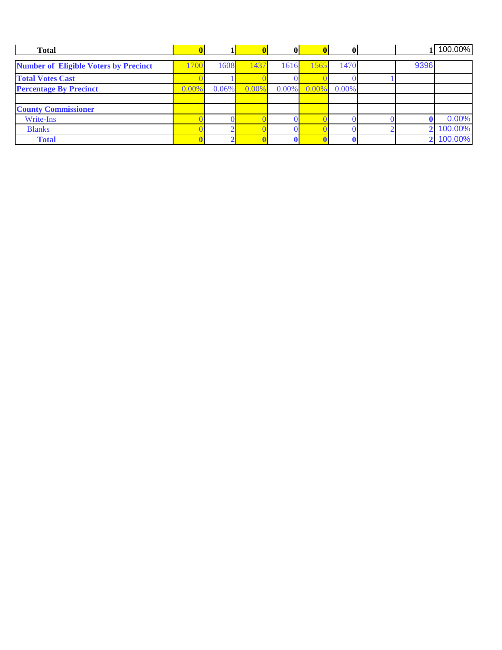| <b>Total</b>                                 |       |          |       | $\mathbf{0}$ | 0     |       |      | 100.00% |
|----------------------------------------------|-------|----------|-------|--------------|-------|-------|------|---------|
| <b>Number of Eligible Voters by Precinct</b> | 700   | 1608     | 1437  | 1616         | 1565  | 1470  | 9396 |         |
| <b>Total Votes Cast</b>                      |       |          |       |              |       |       |      |         |
| <b>Percentage By Precinct</b>                | 0.009 | $0.06\%$ | 0.00% | $0.00\%$     | 0.00% | 0.00% |      |         |
|                                              |       |          |       |              |       |       |      |         |
| <b>County Commissioner</b>                   |       |          |       |              |       |       |      |         |
| Write-Ins                                    |       |          |       |              |       |       |      | 0.00%   |
| <b>Blanks</b>                                |       |          |       |              |       |       |      | 100.00% |
| <b>Total</b>                                 |       |          |       |              |       |       |      | 100.00% |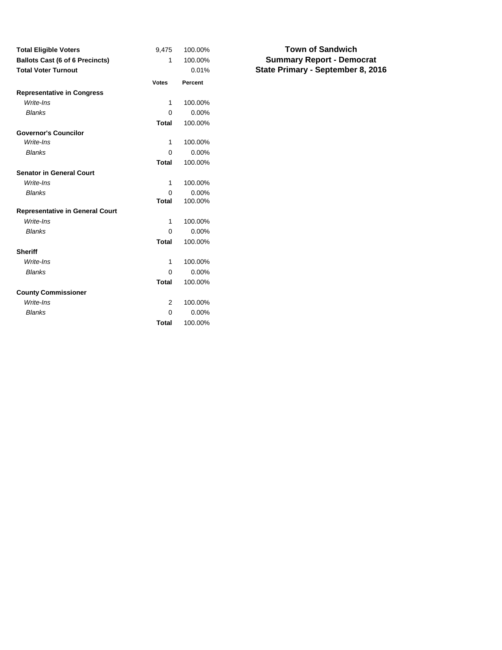| <b>Total Eligible Voters</b>           | 9,475        | 100.00%  |
|----------------------------------------|--------------|----------|
| <b>Ballots Cast (6 of 6 Precincts)</b> | 1            | 100.00%  |
| <b>Total Voter Turnout</b>             |              | 0.01%    |
|                                        | <b>Votes</b> | Percent  |
| <b>Representative in Congress</b>      |              |          |
| Write-Ins                              | 1            | 100.00%  |
| <b>Blanks</b>                          | $\Omega$     | 0.00%    |
|                                        | <b>Total</b> | 100.00%  |
| <b>Governor's Councilor</b>            |              |          |
| Write-Ins                              | 1            | 100.00%  |
| <b>Blanks</b>                          | 0            | 0.00%    |
|                                        | <b>Total</b> | 100.00%  |
| <b>Senator in General Court</b>        |              |          |
| Write-Ins                              | 1            | 100.00%  |
| <b>Blanks</b>                          | O            | $0.00\%$ |
|                                        | <b>Total</b> | 100.00%  |
| <b>Representative in General Court</b> |              |          |
| Write-Ins                              | 1            | 100.00%  |
| <b>Blanks</b>                          | 0            | 0.00%    |
|                                        | <b>Total</b> | 100.00%  |
| <b>Sheriff</b>                         |              |          |
| Write-Ins                              | 1            | 100.00%  |
| <b>Blanks</b>                          | 0            | 0.00%    |
|                                        | <b>Total</b> | 100.00%  |
| <b>County Commissioner</b>             |              |          |
| Write-Ins                              | 2            | 100.00%  |
| <b>Blanks</b>                          | O            | 0.00%    |
|                                        | <b>Total</b> | 100.00%  |

### **Summary Report - Democrat State Primary - September 8, 2016 Town of Sandwich**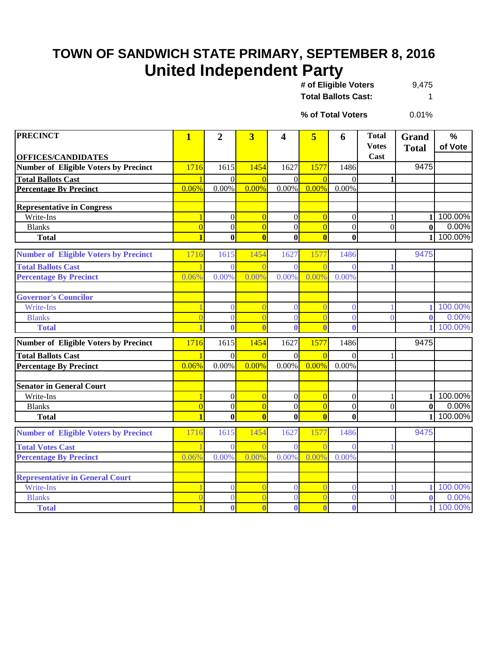# **TOWN OF SANDWICH STATE PRIMARY, SEPTEMBER 8, 2016 United Independent Party**

| # of Eligible Voters       | 9,475 |
|----------------------------|-------|
| <b>Total Ballots Cast:</b> |       |

0.01% **% of Total Voters**

| <b>PRECINCT</b>                                | $\overline{\mathbf{1}}$        | $\overline{2}$                     | $\overline{\mathbf{3}}$          | 4                                | 5                                | 6                                  | <b>Total</b><br><b>Votes</b> | Grand<br><b>Total</b> | $\frac{0}{0}$<br>of Vote |
|------------------------------------------------|--------------------------------|------------------------------------|----------------------------------|----------------------------------|----------------------------------|------------------------------------|------------------------------|-----------------------|--------------------------|
| <b>OFFICES/CANDIDATES</b>                      |                                |                                    |                                  |                                  |                                  |                                    | Cast                         |                       |                          |
| <b>Number of Eligible Voters by Precinct</b>   | 1716                           | 1615                               | 1454                             | 1627                             | 1577                             | 1486                               |                              | 9475                  |                          |
| <b>Total Ballots Cast</b>                      | $\overline{1}$                 | $\Omega$                           | $\Omega$                         | $\Omega$                         | $\overline{0}$                   | $\Omega$                           |                              |                       |                          |
| <b>Percentage By Precinct</b>                  | 0.06%                          | 0.00%                              | 0.00%                            | $0.00\%$                         | 0.00%                            | 0.00%                              |                              |                       |                          |
|                                                |                                |                                    |                                  |                                  |                                  |                                    |                              |                       |                          |
| <b>Representative in Congress</b><br>Write-Ins |                                |                                    |                                  |                                  |                                  |                                    |                              |                       | 100.00%                  |
| <b>Blanks</b>                                  | $\mathbf{1}$<br>$\overline{0}$ | $\boldsymbol{0}$<br>$\overline{0}$ | $\overline{0}$<br>$\overline{0}$ | $\overline{0}$<br>$\overline{0}$ | $\overline{0}$<br>$\overline{0}$ | $\boldsymbol{0}$<br>$\overline{0}$ | $\overline{0}$               | $\bf{0}$              | 0.00%                    |
| <b>Total</b>                                   | $\overline{\mathbf{1}}$        | $\bf{0}$                           | $\overline{\mathbf{0}}$          | $\bf{0}$                         | $\overline{\mathbf{0}}$          | $\bf{0}$                           |                              | $\mathbf{1}$          | 100.00%                  |
|                                                |                                |                                    |                                  |                                  |                                  |                                    |                              |                       |                          |
| <b>Number of Eligible Voters by Precinct</b>   | 1716                           | 1615                               | 1454                             | 1627                             | 1577                             | 1486                               |                              | 9475                  |                          |
| <b>Total Ballots Cast</b>                      |                                | $\theta$                           | $\sqrt{ }$                       | $\theta$                         | $\sqrt{ }$                       | $\theta$                           |                              |                       |                          |
| <b>Percentage By Precinct</b>                  | 0.06%                          | 0.00%                              | 0.00%                            | 0.00%                            | 0.00%                            | 0.00%                              |                              |                       |                          |
|                                                |                                |                                    |                                  |                                  |                                  |                                    |                              |                       |                          |
| <b>Governor's Councilor</b>                    |                                |                                    |                                  |                                  |                                  |                                    |                              |                       |                          |
| <b>Write-Ins</b>                               |                                | $\overline{0}$                     | $\overline{0}$                   | $\overline{0}$                   | $\overline{0}$                   | $\theta$                           |                              |                       | 100.00%                  |
| <b>Blanks</b>                                  |                                | $\overline{0}$                     | $\overline{0}$                   | $\overline{0}$                   | $\overline{0}$                   | $\overline{0}$                     | $\overline{0}$               | $\mathbf{0}$          | 0.00%                    |
| <b>Total</b>                                   | 1                              | 0                                  | $\overline{0}$                   | $\mathbf{0}$                     | $\overline{0}$                   | 0                                  |                              |                       | 100.00%                  |
| <b>Number of Eligible Voters by Precinct</b>   | 1716                           | 1615                               | 1454                             | 1627                             | 1577                             | 1486                               |                              | 9475                  |                          |
| <b>Total Ballots Cast</b>                      | $\mathbf{1}$                   | $\overline{0}$                     | $\overline{0}$                   | $\Omega$                         | $\overline{0}$                   | $\theta$                           |                              |                       |                          |
| <b>Percentage By Precinct</b>                  | 0.06%                          | 0.00%                              | 0.00%                            | 0.00%                            | 0.00%                            | 0.00%                              |                              |                       |                          |
|                                                |                                |                                    |                                  |                                  |                                  |                                    |                              |                       |                          |
| <b>Senator in General Court</b>                |                                |                                    |                                  |                                  |                                  |                                    |                              |                       |                          |
| Write-Ins                                      | $\mathbf{1}$                   | $\overline{0}$                     | $\vert 0 \vert$                  | $\overline{0}$                   | $\overline{0}$                   | $\boldsymbol{0}$                   | 1                            | 1                     | 100.00%                  |
| <b>Blanks</b>                                  | $\overline{0}$                 | $\overline{0}$                     | $\overline{0}$                   | $\overline{0}$                   | $\overline{0}$                   | $\boldsymbol{0}$                   | $\overline{0}$               | $\bf{0}$              | 0.00%                    |
| <b>Total</b>                                   | $\overline{\mathbf{1}}$        | $\bf{0}$                           | $\overline{\mathbf{0}}$          | $\bf{0}$                         | $\overline{\mathbf{0}}$          | $\bf{0}$                           |                              |                       | 100.00%                  |
| <b>Number of Eligible Voters by Precinct</b>   | 1716                           | 1615                               | 1454                             | 1627                             | 1577                             | 1486                               |                              | 9475                  |                          |
| <b>Total Votes Cast</b>                        |                                | $\theta$                           |                                  | $\Omega$                         | $\sqrt{ }$                       | $\Omega$                           |                              |                       |                          |
| <b>Percentage By Precinct</b>                  | 0.06%                          | 0.00%                              | 0.00%                            | 0.00%                            | 0.00%                            | 0.00%                              |                              |                       |                          |
|                                                |                                |                                    |                                  |                                  |                                  |                                    |                              |                       |                          |
| <b>Representative in General Court</b>         |                                |                                    |                                  |                                  |                                  |                                    |                              |                       |                          |
| <b>Write-Ins</b>                               |                                | $\theta$                           | $\overline{0}$                   | $\theta$                         | $\sqrt{ }$                       | $\theta$                           |                              |                       | 100.00%                  |
| <b>Blanks</b>                                  |                                | $\overline{0}$                     | $\overline{C}$                   | $\theta$                         | $\overline{C}$                   | $\overline{0}$                     | $\overline{0}$               | 0                     | 0.00%                    |
| <b>Total</b>                                   |                                | $\bf{0}$                           | $\overline{0}$                   | $\bf{0}$                         | $\overline{0}$                   | $\mathbf{0}$                       |                              |                       | 100.00%                  |